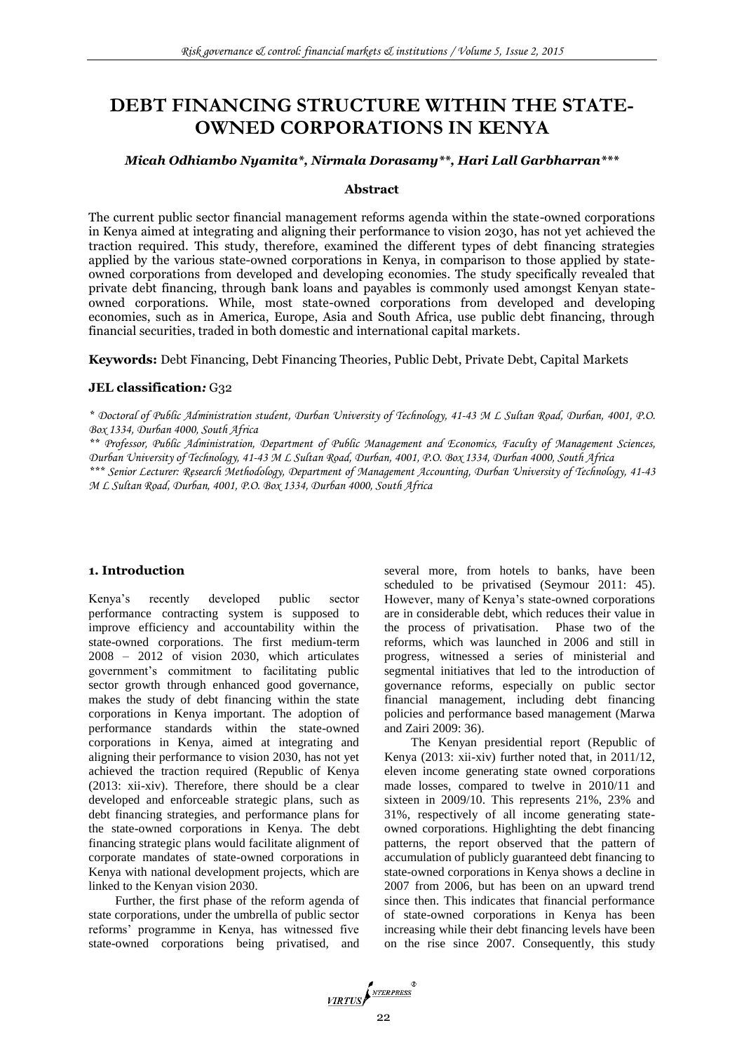# **DEBT FINANCING STRUCTURE WITHIN THE STATE-OWNED CORPORATIONS IN KENYA**

## *Micah Odhiambo Nyamita\*, Nirmala Dorasamy\*\*, Hari Lall Garbharran\*\*\**

#### **Abstract**

The current public sector financial management reforms agenda within the state-owned corporations in Kenya aimed at integrating and aligning their performance to vision 2030, has not yet achieved the traction required. This study, therefore, examined the different types of debt financing strategies applied by the various state-owned corporations in Kenya, in comparison to those applied by stateowned corporations from developed and developing economies. The study specifically revealed that private debt financing, through bank loans and payables is commonly used amongst Kenyan stateowned corporations. While, most state-owned corporations from developed and developing economies, such as in America, Europe, Asia and South Africa, use public debt financing, through financial securities, traded in both domestic and international capital markets.

**Keywords:** Debt Financing, Debt Financing Theories, Public Debt, Private Debt, Capital Markets

#### **JEL classification***:* G32

*\* Doctoral of Public Administration student, Durban University of Technology, 41-43 M L Sultan Road, Durban, 4001, P.O. Box 1334, Durban 4000, South Africa*

*\*\* Professor, Public Administration, Department of Public Management and Economics, Faculty of Management Sciences, Durban University of Technology, 41-43 M L Sultan Road, Durban, 4001, P.O. Box 1334, Durban 4000, South Africa*

*\*\*\* Senior Lecturer: Research Methodology, Department of Management Accounting, Durban University of Technology, 41-43 M L Sultan Road, Durban, 4001, P.O. Box 1334, Durban 4000, South Africa*

#### **1. Introduction**

Kenya's recently developed public sector performance contracting system is supposed to improve efficiency and accountability within the state-owned corporations. The first medium-term 2008 – 2012 of vision 2030, which articulates government's commitment to facilitating public sector growth through enhanced good governance, makes the study of debt financing within the state corporations in Kenya important. The adoption of performance standards within the state-owned corporations in Kenya, aimed at integrating and aligning their performance to vision 2030, has not yet achieved the traction required (Republic of Kenya (2013: xii-xiv). Therefore, there should be a clear developed and enforceable strategic plans, such as debt financing strategies, and performance plans for the state-owned corporations in Kenya. The debt financing strategic plans would facilitate alignment of corporate mandates of state-owned corporations in Kenya with national development projects, which are linked to the Kenyan vision 2030.

Further, the first phase of the reform agenda of state corporations, under the umbrella of public sector reforms' programme in Kenya, has witnessed five state-owned corporations being privatised, and

several more, from hotels to banks, have been scheduled to be privatised (Seymour 2011: 45). However, many of Kenya's state-owned corporations are in considerable debt, which reduces their value in the process of privatisation. Phase two of the reforms, which was launched in 2006 and still in progress, witnessed a series of ministerial and segmental initiatives that led to the introduction of governance reforms, especially on public sector financial management, including debt financing policies and performance based management (Marwa and Zairi 2009: 36).

The Kenyan presidential report (Republic of Kenya (2013: xii-xiv) further noted that, in 2011/12, eleven income generating state owned corporations made losses, compared to twelve in 2010/11 and sixteen in 2009/10. This represents 21%, 23% and 31%, respectively of all income generating stateowned corporations. Highlighting the debt financing patterns, the report observed that the pattern of accumulation of publicly guaranteed debt financing to state-owned corporations in Kenya shows a decline in 2007 from 2006, but has been on an upward trend since then. This indicates that financial performance of state-owned corporations in Kenya has been increasing while their debt financing levels have been on the rise since 2007. Consequently, this study

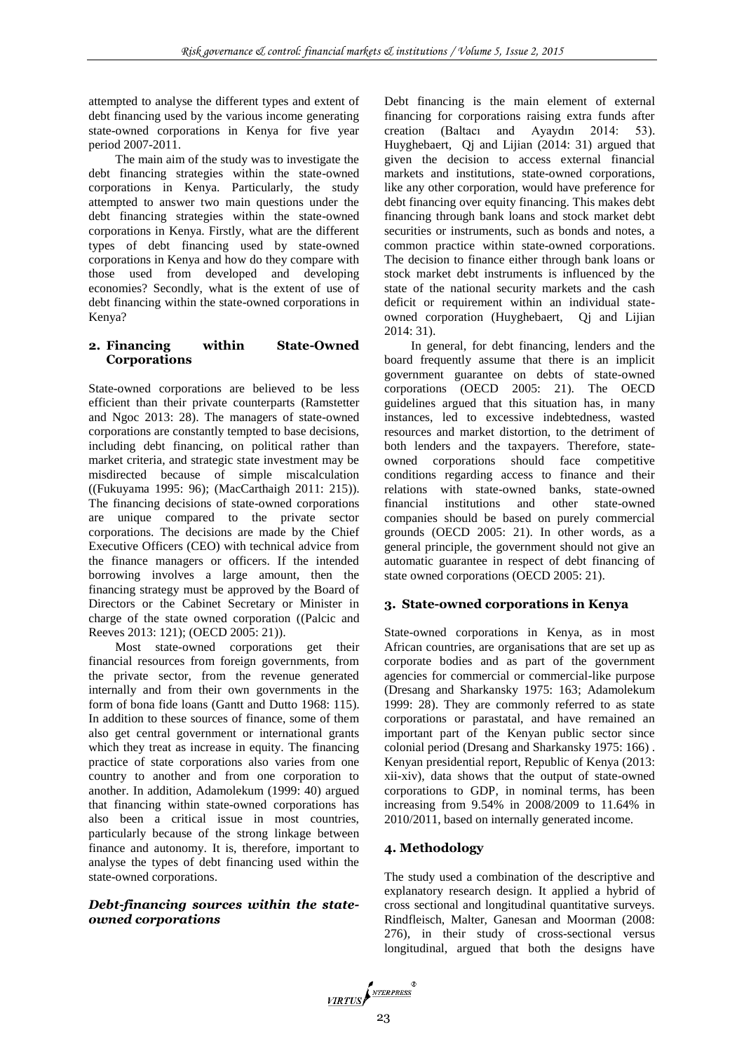attempted to analyse the different types and extent of debt financing used by the various income generating state-owned corporations in Kenya for five year period 2007-2011.

The main aim of the study was to investigate the debt financing strategies within the state-owned corporations in Kenya. Particularly, the study attempted to answer two main questions under the debt financing strategies within the state-owned corporations in Kenya. Firstly, what are the different types of debt financing used by state-owned corporations in Kenya and how do they compare with those used from developed and developing economies? Secondly, what is the extent of use of debt financing within the state-owned corporations in Kenya?

#### **2. Financing within State-Owned Corporations**

State-owned corporations are believed to be less efficient than their private counterparts (Ramstetter and Ngoc 2013: 28). The managers of state-owned corporations are constantly tempted to base decisions, including debt financing, on political rather than market criteria, and strategic state investment may be misdirected because of simple miscalculation ((Fukuyama 1995: 96); (MacCarthaigh 2011: 215)). The financing decisions of state-owned corporations are unique compared to the private sector corporations. The decisions are made by the Chief Executive Officers (CEO) with technical advice from the finance managers or officers. If the intended borrowing involves a large amount, then the financing strategy must be approved by the Board of Directors or the Cabinet Secretary or Minister in charge of the state owned corporation ((Palcic and Reeves 2013: 121); (OECD 2005: 21)).

Most state-owned corporations get their financial resources from foreign governments, from the private sector, from the revenue generated internally and from their own governments in the form of bona fide loans (Gantt and Dutto 1968: 115). In addition to these sources of finance, some of them also get central government or international grants which they treat as increase in equity. The financing practice of state corporations also varies from one country to another and from one corporation to another. In addition, Adamolekum (1999: 40) argued that financing within state-owned corporations has also been a critical issue in most countries, particularly because of the strong linkage between finance and autonomy. It is, therefore, important to analyse the types of debt financing used within the state-owned corporations.

## *Debt-financing sources within the stateowned corporations*

Debt financing is the main element of external financing for corporations raising extra funds after creation (Baltacı and Ayaydın 2014: 53). Huyghebaert, Qj and Lijian (2014: 31) argued that given the decision to access external financial markets and institutions, state-owned corporations, like any other corporation, would have preference for debt financing over equity financing. This makes debt financing through bank loans and stock market debt securities or instruments, such as bonds and notes, a common practice within state-owned corporations. The decision to finance either through bank loans or stock market debt instruments is influenced by the state of the national security markets and the cash deficit or requirement within an individual stateowned corporation (Huyghebaert, Qj and Lijian 2014: 31).

In general, for debt financing, lenders and the board frequently assume that there is an implicit government guarantee on debts of state-owned corporations (OECD 2005: 21). The OECD guidelines argued that this situation has, in many instances, led to excessive indebtedness, wasted resources and market distortion, to the detriment of both lenders and the taxpayers. Therefore, stateowned corporations should face competitive conditions regarding access to finance and their relations with state-owned banks, state-owned financial institutions and other state-owned companies should be based on purely commercial grounds (OECD 2005: 21). In other words, as a general principle, the government should not give an automatic guarantee in respect of debt financing of state owned corporations (OECD 2005: 21).

#### **3. State-owned corporations in Kenya**

State-owned corporations in Kenya, as in most African countries, are organisations that are set up as corporate bodies and as part of the government agencies for commercial or commercial-like purpose (Dresang and Sharkansky 1975: 163; Adamolekum 1999: 28). They are commonly referred to as state corporations or parastatal, and have remained an important part of the Kenyan public sector since colonial period (Dresang and Sharkansky 1975: 166) . Kenyan presidential report, Republic of Kenya (2013: xii-xiv), data shows that the output of state-owned corporations to GDP, in nominal terms, has been increasing from 9.54% in 2008/2009 to 11.64% in 2010/2011, based on internally generated income.

# **4. Methodology**

The study used a combination of the descriptive and explanatory research design. It applied a hybrid of cross sectional and longitudinal quantitative surveys. Rindfleisch, Malter, Ganesan and Moorman (2008: 276), in their study of cross-sectional versus longitudinal, argued that both the designs have

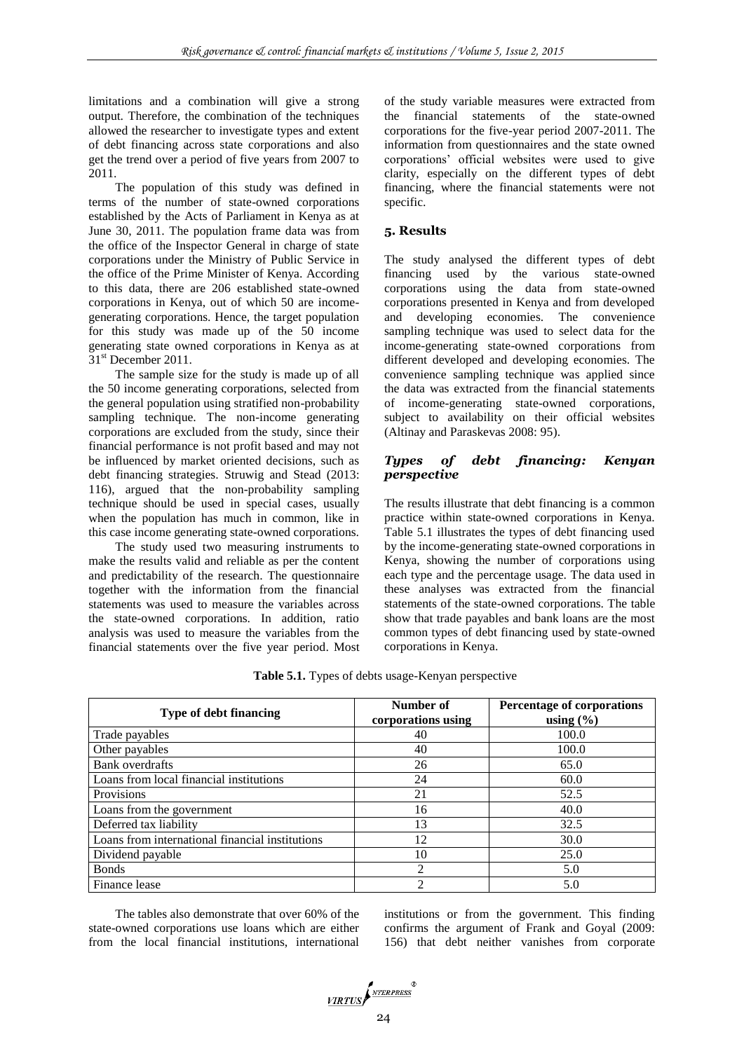limitations and a combination will give a strong output. Therefore, the combination of the techniques allowed the researcher to investigate types and extent of debt financing across state corporations and also get the trend over a period of five years from 2007 to 2011.

The population of this study was defined in terms of the number of state-owned corporations established by the Acts of Parliament in Kenya as at June 30, 2011. The population frame data was from the office of the Inspector General in charge of state corporations under the Ministry of Public Service in the office of the Prime Minister of Kenya. According to this data, there are 206 established state-owned corporations in Kenya, out of which 50 are incomegenerating corporations. Hence, the target population for this study was made up of the 50 income generating state owned corporations in Kenya as at 31<sup>st</sup> December 2011.

The sample size for the study is made up of all the 50 income generating corporations, selected from the general population using stratified non-probability sampling technique. The non-income generating corporations are excluded from the study, since their financial performance is not profit based and may not be influenced by market oriented decisions, such as debt financing strategies. Struwig and Stead (2013: 116), argued that the non-probability sampling technique should be used in special cases, usually when the population has much in common, like in this case income generating state-owned corporations.

The study used two measuring instruments to make the results valid and reliable as per the content and predictability of the research. The questionnaire together with the information from the financial statements was used to measure the variables across the state-owned corporations. In addition, ratio analysis was used to measure the variables from the financial statements over the five year period. Most

of the study variable measures were extracted from the financial statements of the state-owned corporations for the five-year period 2007-2011. The information from questionnaires and the state owned corporations' official websites were used to give clarity, especially on the different types of debt financing, where the financial statements were not specific.

#### **5. Results**

The study analysed the different types of debt financing used by the various state-owned corporations using the data from state-owned corporations presented in Kenya and from developed and developing economies. The convenience sampling technique was used to select data for the income-generating state-owned corporations from different developed and developing economies. The convenience sampling technique was applied since the data was extracted from the financial statements of income-generating state-owned corporations, subject to availability on their official websites (Altinay and Paraskevas 2008: 95).

## *Types of debt financing: Kenyan perspective*

The results illustrate that debt financing is a common practice within state-owned corporations in Kenya. Table 5.1 illustrates the types of debt financing used by the income-generating state-owned corporations in Kenya, showing the number of corporations using each type and the percentage usage. The data used in these analyses was extracted from the financial statements of the state-owned corporations. The table show that trade payables and bank loans are the most common types of debt financing used by state-owned corporations in Kenya.

|  |  |  |  |  | Table 5.1. Types of debts usage-Kenyan perspective |
|--|--|--|--|--|----------------------------------------------------|
|--|--|--|--|--|----------------------------------------------------|

| <b>Type of debt financing</b>                   | Number of<br>corporations using | Percentage of corporations<br>using $(\% )$ |  |  |
|-------------------------------------------------|---------------------------------|---------------------------------------------|--|--|
| Trade payables                                  | 40                              | 100.0                                       |  |  |
| Other payables                                  | 40                              | 100.0                                       |  |  |
| <b>Bank</b> overdrafts                          | 26                              | 65.0                                        |  |  |
| Loans from local financial institutions         | 24                              | 60.0                                        |  |  |
| Provisions                                      | 21                              | 52.5                                        |  |  |
| Loans from the government                       | 16                              | 40.0                                        |  |  |
| Deferred tax liability                          | 13                              | 32.5                                        |  |  |
| Loans from international financial institutions | 12                              | 30.0                                        |  |  |
| Dividend payable                                | 10                              | 25.0                                        |  |  |
| <b>Bonds</b>                                    | 2                               | 5.0                                         |  |  |
| Finance lease                                   | $\mathfrak{D}$                  | 5.0                                         |  |  |

The tables also demonstrate that over 60% of the state-owned corporations use loans which are either from the local financial institutions, international institutions or from the government. This finding confirms the argument of Frank and Goyal (2009: 156) that debt neither vanishes from corporate

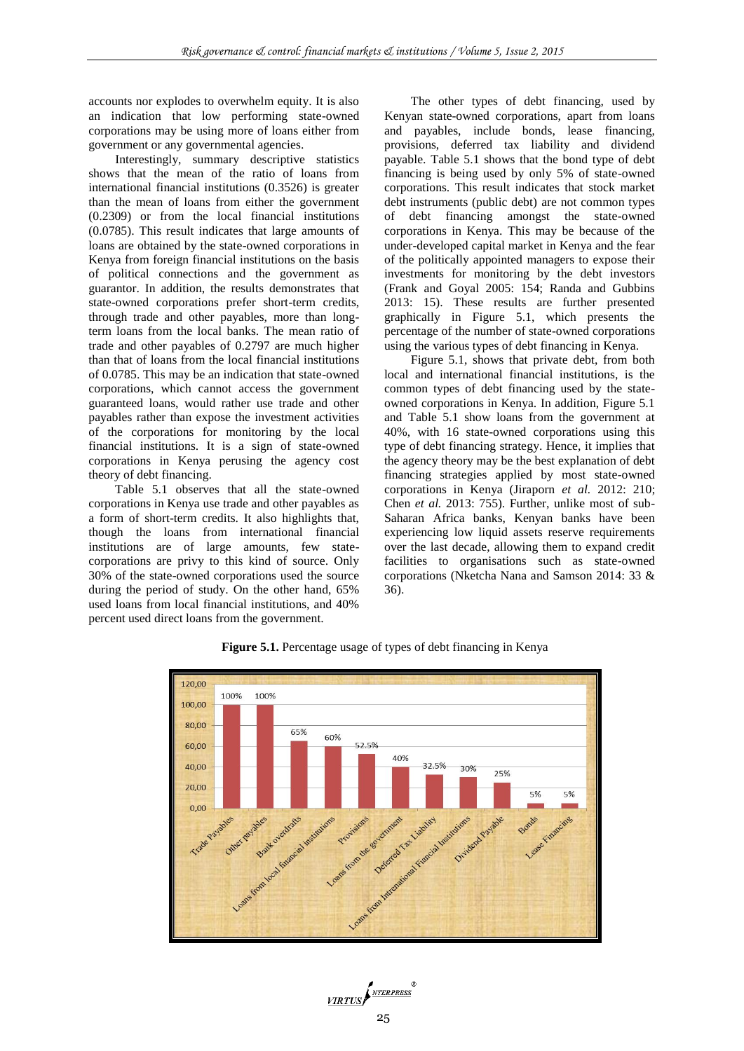accounts nor explodes to overwhelm equity. It is also an indication that low performing state-owned corporations may be using more of loans either from government or any governmental agencies.

Interestingly, summary descriptive statistics shows that the mean of the ratio of loans from international financial institutions (0.3526) is greater than the mean of loans from either the government (0.2309) or from the local financial institutions (0.0785). This result indicates that large amounts of loans are obtained by the state-owned corporations in Kenya from foreign financial institutions on the basis of political connections and the government as guarantor. In addition, the results demonstrates that state-owned corporations prefer short-term credits, through trade and other payables, more than longterm loans from the local banks. The mean ratio of trade and other payables of 0.2797 are much higher than that of loans from the local financial institutions of 0.0785. This may be an indication that state-owned corporations, which cannot access the government guaranteed loans, would rather use trade and other payables rather than expose the investment activities of the corporations for monitoring by the local financial institutions. It is a sign of state-owned corporations in Kenya perusing the agency cost theory of debt financing.

Table 5.1 observes that all the state-owned corporations in Kenya use trade and other payables as a form of short-term credits. It also highlights that, though the loans from international financial institutions are of large amounts, few statecorporations are privy to this kind of source. Only 30% of the state-owned corporations used the source during the period of study. On the other hand, 65% used loans from local financial institutions, and 40% percent used direct loans from the government.

The other types of debt financing, used by Kenyan state-owned corporations, apart from loans and payables, include bonds, lease financing, provisions, deferred tax liability and dividend payable. Table 5.1 shows that the bond type of debt financing is being used by only 5% of state-owned corporations. This result indicates that stock market debt instruments (public debt) are not common types of debt financing amongst the state-owned corporations in Kenya. This may be because of the under-developed capital market in Kenya and the fear of the politically appointed managers to expose their investments for monitoring by the debt investors (Frank and Goyal 2005: 154; Randa and Gubbins 2013: 15). These results are further presented graphically in Figure 5.1, which presents the percentage of the number of state-owned corporations using the various types of debt financing in Kenya.

Figure 5.1, shows that private debt, from both local and international financial institutions, is the common types of debt financing used by the stateowned corporations in Kenya. In addition, Figure 5.1 and Table 5.1 show loans from the government at 40%, with 16 state-owned corporations using this type of debt financing strategy. Hence, it implies that the agency theory may be the best explanation of debt financing strategies applied by most state-owned corporations in Kenya (Jiraporn *et al.* 2012: 210; Chen *et al.* 2013: 755). Further, unlike most of sub-Saharan Africa banks, Kenyan banks have been experiencing low liquid assets reserve requirements over the last decade, allowing them to expand credit facilities to organisations such as state-owned corporations (Nketcha Nana and Samson 2014: 33 & 36).



**Figure 5.1.** Percentage usage of types of debt financing in Kenya

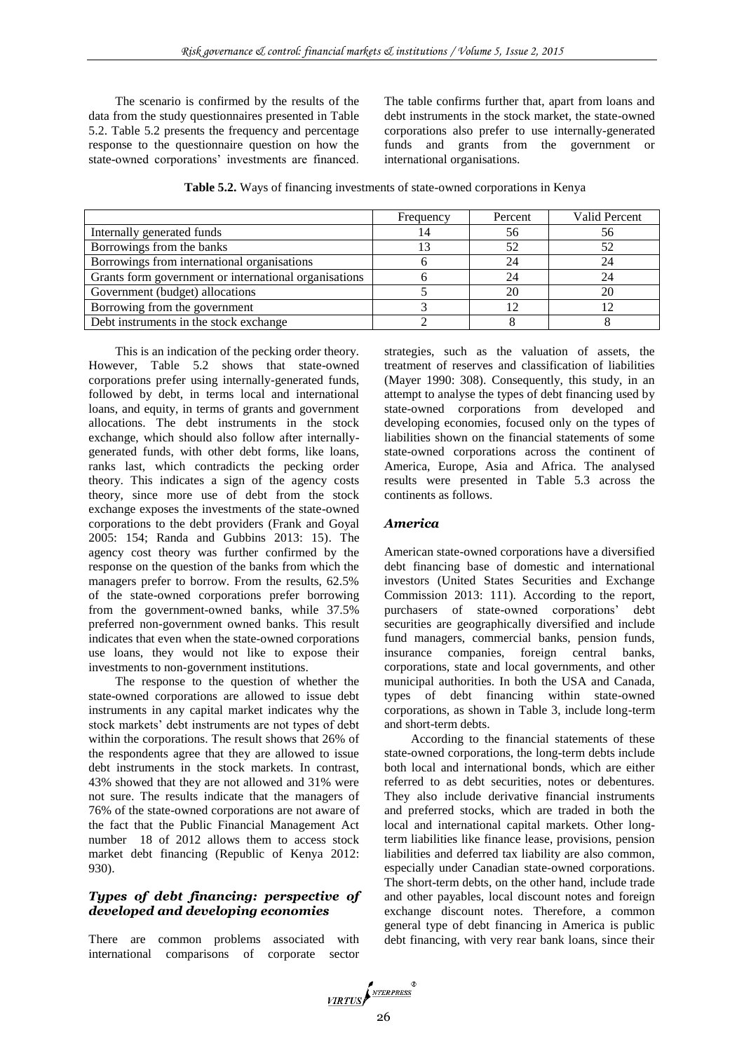The scenario is confirmed by the results of the data from the study questionnaires presented in Table 5.2. Table 5.2 presents the frequency and percentage response to the questionnaire question on how the state-owned corporations' investments are financed. The table confirms further that, apart from loans and debt instruments in the stock market, the state-owned corporations also prefer to use internally-generated funds and grants from the government or international organisations.

**Table 5.2.** Ways of financing investments of state-owned corporations in Kenya

|                                                       | Frequency | Percent | Valid Percent |  |
|-------------------------------------------------------|-----------|---------|---------------|--|
| Internally generated funds                            | 14        | 56      | 56            |  |
| Borrowings from the banks                             |           |         |               |  |
| Borrowings from international organisations           |           | 24      | 24            |  |
| Grants form government or international organisations |           | 24      |               |  |
| Government (budget) allocations                       |           | 20      | 20            |  |
| Borrowing from the government                         |           |         |               |  |
| Debt instruments in the stock exchange                |           |         |               |  |

This is an indication of the pecking order theory. However, Table 5.2 shows that state-owned corporations prefer using internally-generated funds, followed by debt, in terms local and international loans, and equity, in terms of grants and government allocations. The debt instruments in the stock exchange, which should also follow after internallygenerated funds, with other debt forms, like loans, ranks last, which contradicts the pecking order theory. This indicates a sign of the agency costs theory, since more use of debt from the stock exchange exposes the investments of the state-owned corporations to the debt providers (Frank and Goyal 2005: 154; Randa and Gubbins 2013: 15). The agency cost theory was further confirmed by the response on the question of the banks from which the managers prefer to borrow. From the results, 62.5% of the state-owned corporations prefer borrowing from the government-owned banks, while 37.5% preferred non-government owned banks. This result indicates that even when the state-owned corporations use loans, they would not like to expose their investments to non-government institutions.

The response to the question of whether the state-owned corporations are allowed to issue debt instruments in any capital market indicates why the stock markets' debt instruments are not types of debt within the corporations. The result shows that 26% of the respondents agree that they are allowed to issue debt instruments in the stock markets. In contrast, 43% showed that they are not allowed and 31% were not sure. The results indicate that the managers of 76% of the state-owned corporations are not aware of the fact that the Public Financial Management Act number 18 of 2012 allows them to access stock market debt financing (Republic of Kenya 2012: 930).

#### *Types of debt financing: perspective of developed and developing economies*

There are common problems associated with international comparisons of corporate sector

strategies, such as the valuation of assets, the treatment of reserves and classification of liabilities (Mayer 1990: 308). Consequently, this study, in an attempt to analyse the types of debt financing used by state-owned corporations from developed and developing economies, focused only on the types of liabilities shown on the financial statements of some state-owned corporations across the continent of America, Europe, Asia and Africa. The analysed results were presented in Table 5.3 across the continents as follows.

#### *America*

American state-owned corporations have a diversified debt financing base of domestic and international investors (United States Securities and Exchange Commission 2013: 111). According to the report, purchasers of state-owned corporations' debt securities are geographically diversified and include fund managers, commercial banks, pension funds, insurance companies, foreign central banks, corporations, state and local governments, and other municipal authorities. In both the USA and Canada, types of debt financing within state-owned corporations, as shown in Table 3, include long-term and short-term debts.

According to the financial statements of these state-owned corporations, the long-term debts include both local and international bonds, which are either referred to as debt securities, notes or debentures. They also include derivative financial instruments and preferred stocks, which are traded in both the local and international capital markets. Other longterm liabilities like finance lease, provisions, pension liabilities and deferred tax liability are also common, especially under Canadian state-owned corporations. The short-term debts, on the other hand, include trade and other payables, local discount notes and foreign exchange discount notes. Therefore, a common general type of debt financing in America is public debt financing, with very rear bank loans, since their

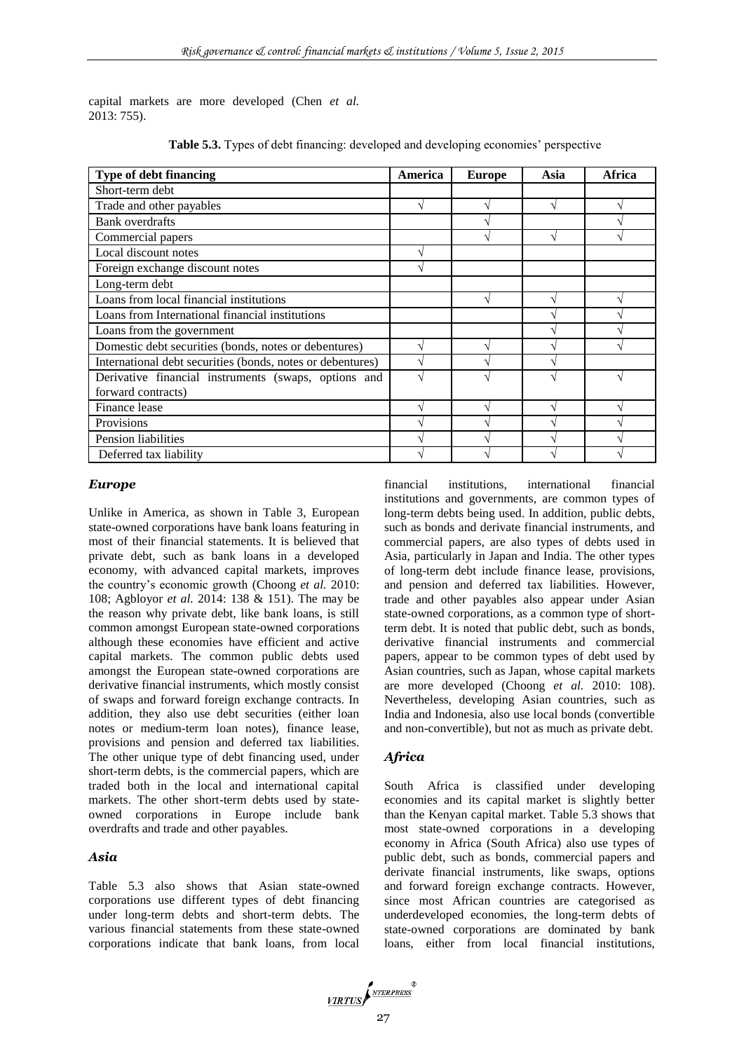capital markets are more developed (Chen *et al.* 2013: 755).

| <b>Type of debt financing</b>                              | America | <b>Europe</b> | Asia | Africa |
|------------------------------------------------------------|---------|---------------|------|--------|
| Short-term debt                                            |         |               |      |        |
| Trade and other payables                                   |         | ٦             |      |        |
| <b>Bank</b> overdrafts                                     |         | ٦             |      |        |
| Commercial papers                                          |         |               |      |        |
| Local discount notes                                       |         |               |      |        |
| Foreign exchange discount notes                            |         |               |      |        |
| Long-term debt                                             |         |               |      |        |
| Loans from local financial institutions                    |         |               |      |        |
| Loans from International financial institutions            |         |               |      |        |
| Loans from the government                                  |         |               |      |        |
| Domestic debt securities (bonds, notes or debentures)      |         |               |      |        |
| International debt securities (bonds, notes or debentures) |         |               |      |        |
| Derivative financial instruments (swaps, options and       |         |               |      |        |
| forward contracts)                                         |         |               |      |        |
| Finance lease                                              |         |               |      |        |
| Provisions                                                 |         |               |      |        |
| Pension liabilities                                        |         |               |      |        |
| Deferred tax liability                                     |         |               |      |        |

**Table 5.3.** Types of debt financing: developed and developing economies' perspective

#### *Europe*

Unlike in America, as shown in Table 3, European state-owned corporations have bank loans featuring in most of their financial statements. It is believed that private debt, such as bank loans in a developed economy, with advanced capital markets, improves the country's economic growth (Choong *et al.* 2010: 108; Agbloyor *et al.* 2014: 138 & 151). The may be the reason why private debt, like bank loans, is still common amongst European state-owned corporations although these economies have efficient and active capital markets. The common public debts used amongst the European state-owned corporations are derivative financial instruments, which mostly consist of swaps and forward foreign exchange contracts. In addition, they also use debt securities (either loan notes or medium-term loan notes), finance lease, provisions and pension and deferred tax liabilities. The other unique type of debt financing used, under short-term debts, is the commercial papers, which are traded both in the local and international capital markets. The other short-term debts used by stateowned corporations in Europe include bank overdrafts and trade and other payables.

#### *Asia*

Table 5.3 also shows that Asian state-owned corporations use different types of debt financing under long-term debts and short-term debts. The various financial statements from these state-owned corporations indicate that bank loans, from local

financial institutions, international financial institutions and governments, are common types of long-term debts being used. In addition, public debts, such as bonds and derivate financial instruments, and commercial papers, are also types of debts used in Asia, particularly in Japan and India. The other types of long-term debt include finance lease, provisions, and pension and deferred tax liabilities. However, trade and other payables also appear under Asian state-owned corporations, as a common type of shortterm debt. It is noted that public debt, such as bonds, derivative financial instruments and commercial papers, appear to be common types of debt used by Asian countries, such as Japan, whose capital markets are more developed (Choong *et al.* 2010: 108). Nevertheless, developing Asian countries, such as India and Indonesia, also use local bonds (convertible and non-convertible), but not as much as private debt.

## *Africa*

South Africa is classified under developing economies and its capital market is slightly better than the Kenyan capital market. Table 5.3 shows that most state-owned corporations in a developing economy in Africa (South Africa) also use types of public debt, such as bonds, commercial papers and derivate financial instruments, like swaps, options and forward foreign exchange contracts. However, since most African countries are categorised as underdeveloped economies, the long-term debts of state-owned corporations are dominated by bank loans, either from local financial institutions,

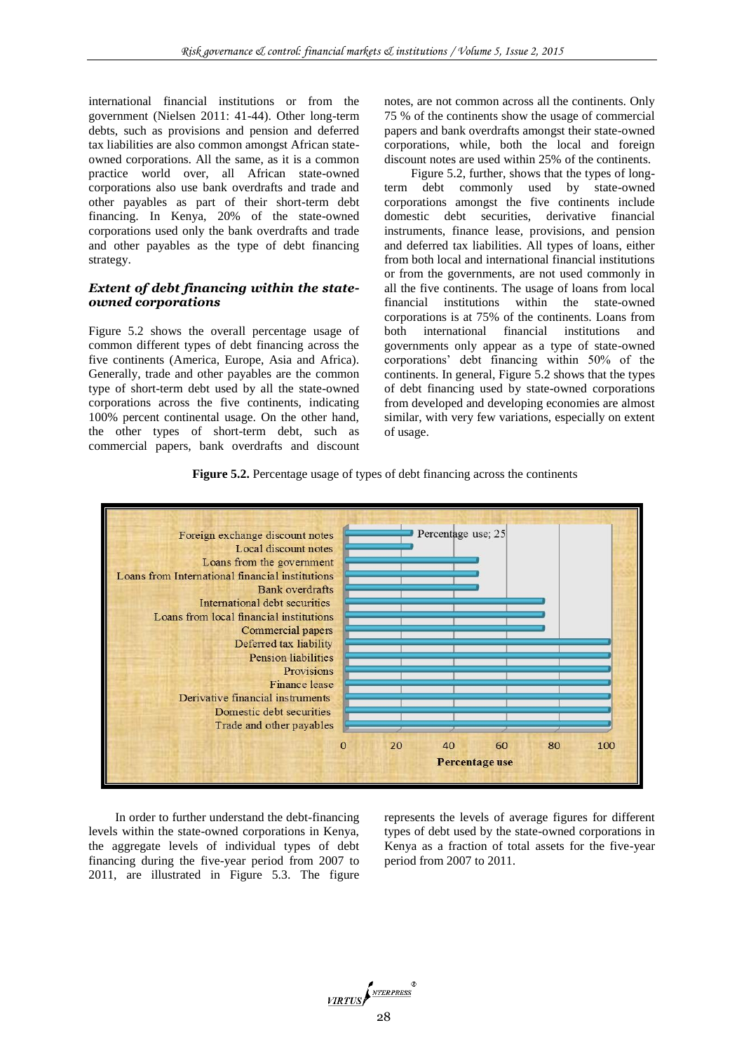international financial institutions or from the government (Nielsen 2011: 41-44). Other long-term debts, such as provisions and pension and deferred tax liabilities are also common amongst African stateowned corporations. All the same, as it is a common practice world over, all African state-owned corporations also use bank overdrafts and trade and other payables as part of their short-term debt financing. In Kenya, 20% of the state-owned corporations used only the bank overdrafts and trade and other payables as the type of debt financing strategy.

#### *Extent of debt financing within the stateowned corporations*

Figure 5.2 shows the overall percentage usage of common different types of debt financing across the five continents (America, Europe, Asia and Africa). Generally, trade and other payables are the common type of short-term debt used by all the state-owned corporations across the five continents, indicating 100% percent continental usage. On the other hand, the other types of short-term debt, such as commercial papers, bank overdrafts and discount

notes, are not common across all the continents. Only 75 % of the continents show the usage of commercial papers and bank overdrafts amongst their state-owned corporations, while, both the local and foreign discount notes are used within 25% of the continents.

Figure 5.2, further, shows that the types of longterm debt commonly used by state-owned corporations amongst the five continents include domestic debt securities, derivative financial instruments, finance lease, provisions, and pension and deferred tax liabilities. All types of loans, either from both local and international financial institutions or from the governments, are not used commonly in all the five continents. The usage of loans from local<br>financial institutions within the state-owned financial institutions within the corporations is at 75% of the continents. Loans from both international financial institutions and governments only appear as a type of state-owned corporations' debt financing within 50% of the continents. In general, Figure 5.2 shows that the types of debt financing used by state-owned corporations from developed and developing economies are almost similar, with very few variations, especially on extent of usage.





In order to further understand the debt-financing levels within the state-owned corporations in Kenya, the aggregate levels of individual types of debt financing during the five-year period from 2007 to 2011, are illustrated in Figure 5.3. The figure

represents the levels of average figures for different types of debt used by the state-owned corporations in Kenya as a fraction of total assets for the five-year period from 2007 to 2011.

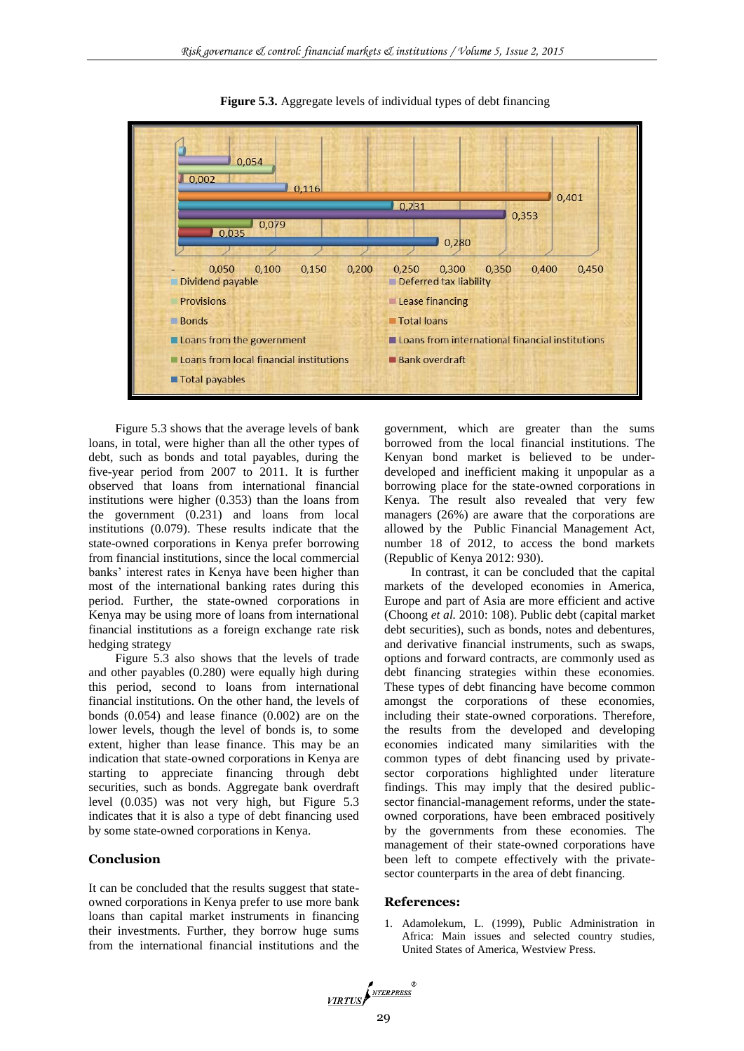

**Figure 5.3.** Aggregate levels of individual types of debt financing

Figure 5.3 shows that the average levels of bank loans, in total, were higher than all the other types of debt, such as bonds and total payables, during the five-year period from 2007 to 2011. It is further observed that loans from international financial institutions were higher (0.353) than the loans from the government (0.231) and loans from local institutions (0.079). These results indicate that the state-owned corporations in Kenya prefer borrowing from financial institutions, since the local commercial banks' interest rates in Kenya have been higher than most of the international banking rates during this period. Further, the state-owned corporations in Kenya may be using more of loans from international financial institutions as a foreign exchange rate risk hedging strategy

Figure 5.3 also shows that the levels of trade and other payables (0.280) were equally high during this period, second to loans from international financial institutions. On the other hand, the levels of bonds (0.054) and lease finance (0.002) are on the lower levels, though the level of bonds is, to some extent, higher than lease finance. This may be an indication that state-owned corporations in Kenya are starting to appreciate financing through debt securities, such as bonds. Aggregate bank overdraft level (0.035) was not very high, but Figure 5.3 indicates that it is also a type of debt financing used by some state-owned corporations in Kenya.

#### **Conclusion**

It can be concluded that the results suggest that stateowned corporations in Kenya prefer to use more bank loans than capital market instruments in financing their investments. Further, they borrow huge sums from the international financial institutions and the government, which are greater than the sums borrowed from the local financial institutions. The Kenyan bond market is believed to be underdeveloped and inefficient making it unpopular as a borrowing place for the state-owned corporations in Kenya. The result also revealed that very few managers (26%) are aware that the corporations are allowed by the Public Financial Management Act, number 18 of 2012, to access the bond markets (Republic of Kenya 2012: 930).

In contrast, it can be concluded that the capital markets of the developed economies in America, Europe and part of Asia are more efficient and active (Choong *et al.* 2010: 108). Public debt (capital market debt securities), such as bonds, notes and debentures, and derivative financial instruments, such as swaps, options and forward contracts, are commonly used as debt financing strategies within these economies. These types of debt financing have become common amongst the corporations of these economies, including their state-owned corporations. Therefore, the results from the developed and developing economies indicated many similarities with the common types of debt financing used by privatesector corporations highlighted under literature findings. This may imply that the desired publicsector financial-management reforms, under the stateowned corporations, have been embraced positively by the governments from these economies. The management of their state-owned corporations have been left to compete effectively with the privatesector counterparts in the area of debt financing.

#### **References:**

1. Adamolekum, L. (1999), Public Administration in Africa: Main issues and selected country studies, United States of America, Westview Press.